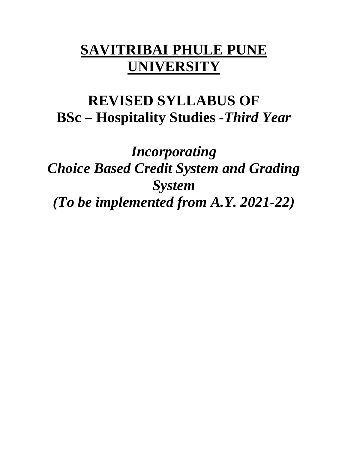# **SAVITRIBAI PHULE PUNE UNIVERSITY**

# **REVISED SYLLABUS OF BSc – Hospitality Studies** *-Third Year*

*Incorporating Choice Based Credit System and Grading System (To be implemented from A.Y. 2021-22)*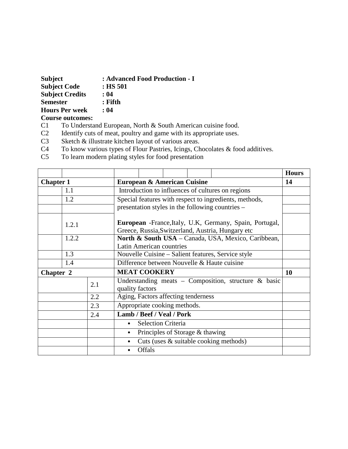| <b>Subject</b>          | : Advanced Food Production - I |
|-------------------------|--------------------------------|
| <b>Subject Code</b>     | $:$ HS 501                     |
| <b>Subject Credits</b>  | : 04                           |
| <b>Semester</b>         | : Fifth                        |
| <b>Hours Per week</b>   | : 04                           |
| <b>Course outcomes:</b> |                                |

- 
- C1 To Understand European, North & South American cuisine food.<br>C2 Identify cuts of meat, poultry and game with its appropriate uses. C2 Identify cuts of meat, poultry and game with its appropriate uses.<br>C3 Sketch & illustrate kitchen layout of various areas.
- Sketch  $\&$  illustrate kitchen layout of various areas.
- C4 To know various types of Flour Pastries, Icings, Chocolates & food additives.<br>C5 To learn modern plating styles for food presentation
- To learn modern plating styles for food presentation

|                  |       |     |                 |                     |                                        |                                                                                                                       | <b>Hours</b> |
|------------------|-------|-----|-----------------|---------------------|----------------------------------------|-----------------------------------------------------------------------------------------------------------------------|--------------|
| <b>Chapter 1</b> |       |     |                 |                     | <b>European &amp; American Cuisine</b> |                                                                                                                       | 14           |
|                  | 1.1   |     |                 |                     |                                        | Introduction to influences of cultures on regions                                                                     |              |
|                  | 1.2   |     |                 |                     |                                        | Special features with respect to ingredients, methods,                                                                |              |
|                  |       |     |                 |                     |                                        | presentation styles in the following countries –                                                                      |              |
|                  | 1.2.1 |     |                 |                     |                                        | <b>European</b> - France, Italy, U.K., Germany, Spain, Portugal,<br>Greece, Russia, Switzerland, Austria, Hungary etc |              |
|                  | 1.2.2 |     |                 |                     |                                        | North & South USA - Canada, USA, Mexico, Caribbean,                                                                   |              |
|                  |       |     |                 |                     | Latin American countries               |                                                                                                                       |              |
|                  | 1.3   |     |                 |                     |                                        | Nouvelle Cuisine – Salient features, Service style                                                                    |              |
|                  | 1.4   |     |                 |                     |                                        | Difference between Nouvelle & Haute cuisine                                                                           |              |
| Chapter 2        |       |     |                 | <b>MEAT COOKERY</b> |                                        |                                                                                                                       | <b>10</b>    |
|                  |       | 2.1 | quality factors |                     |                                        | Understanding meats - Composition, structure & basic                                                                  |              |
|                  |       | 2.2 |                 |                     | Aging, Factors affecting tenderness    |                                                                                                                       |              |
|                  |       | 2.3 |                 |                     | Appropriate cooking methods.           |                                                                                                                       |              |
|                  |       | 2.4 |                 |                     | Lamb / Beef / Veal / Pork              |                                                                                                                       |              |
|                  |       |     |                 |                     | <b>Selection Criteria</b>              |                                                                                                                       |              |
|                  |       |     | $\bullet$       |                     | Principles of Storage & thawing        |                                                                                                                       |              |
|                  |       |     |                 |                     |                                        | Cuts (uses & suitable cooking methods)                                                                                |              |
|                  |       |     |                 | Offals              |                                        |                                                                                                                       |              |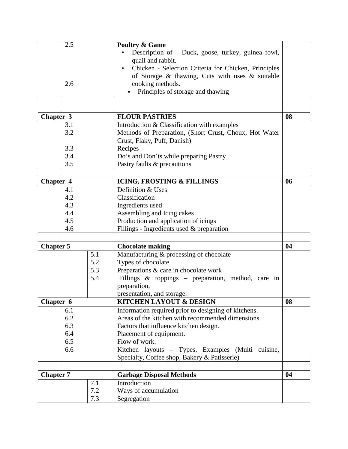|                  | 2.5 |                  | <b>Poultry &amp; Game</b>                              |    |
|------------------|-----|------------------|--------------------------------------------------------|----|
|                  |     |                  | Description of - Duck, goose, turkey, guinea fowl,     |    |
|                  |     |                  | quail and rabbit.                                      |    |
|                  |     |                  | Chicken - Selection Criteria for Chicken, Principles   |    |
|                  |     |                  | of Storage & thawing, Cuts with uses & suitable        |    |
|                  | 2.6 |                  | cooking methods.                                       |    |
|                  |     |                  | Principles of storage and thawing                      |    |
|                  |     |                  |                                                        |    |
|                  |     |                  |                                                        |    |
| Chapter 3        |     |                  | <b>FLOUR PASTRIES</b>                                  | 08 |
|                  | 3.1 |                  | Introduction & Classification with examples            |    |
|                  | 3.2 |                  | Methods of Preparation, (Short Crust, Choux, Hot Water |    |
|                  |     |                  | Crust, Flaky, Puff, Danish)                            |    |
|                  | 3.3 |                  | Recipes                                                |    |
|                  | 3.4 |                  | Do's and Don'ts while preparing Pastry                 |    |
|                  | 3.5 |                  | Pastry faults & precautions                            |    |
|                  |     |                  |                                                        |    |
| Chapter 4        |     |                  | <b>ICING, FROSTING &amp; FILLINGS</b>                  | 06 |
|                  | 4.1 |                  | Definition & Uses                                      |    |
|                  | 4.2 |                  | Classification                                         |    |
|                  | 4.3 |                  | Ingredients used                                       |    |
|                  | 4.4 |                  | Assembling and Icing cakes                             |    |
|                  | 4.5 |                  | Production and application of icings                   |    |
|                  | 4.6 |                  | Fillings - Ingredients used $&$ preparation            |    |
|                  |     |                  |                                                        |    |
| <b>Chapter 5</b> |     |                  | <b>Chocolate making</b>                                | 04 |
|                  |     | $\overline{5.1}$ | Manufacturing & processing of chocolate                |    |
|                  |     | 5.2              | Types of chocolate                                     |    |
|                  |     | 5.3              | Preparations & care in chocolate work                  |    |
|                  |     | 5.4              | Fillings & toppings - preparation, method, care in     |    |
|                  |     |                  | preparation,                                           |    |
|                  |     |                  | presentation, and storage.                             |    |
| Chapter 6        |     |                  | <b>KITCHEN LAYOUT &amp; DESIGN</b>                     | 08 |
|                  | 6.1 |                  | Information required prior to designing of kitchens.   |    |
|                  | 6.2 |                  | Areas of the kitchen with recommended dimensions       |    |
|                  | 6.3 |                  | Factors that influence kitchen design.                 |    |
|                  | 6.4 |                  | Placement of equipment.                                |    |
|                  | 6.5 |                  | Flow of work.                                          |    |
|                  | 6.6 |                  | Kitchen layouts – Types, Examples (Multi cuisine,      |    |
|                  |     |                  | Specialty, Coffee shop, Bakery & Patisserie)           |    |
|                  |     |                  |                                                        |    |
| <b>Chapter 7</b> |     |                  | <b>Garbage Disposal Methods</b>                        | 04 |
|                  |     | 7.1              | Introduction                                           |    |
|                  |     | $7.2\,$          | Ways of accumulation                                   |    |
|                  |     | 7.3              | Segregation                                            |    |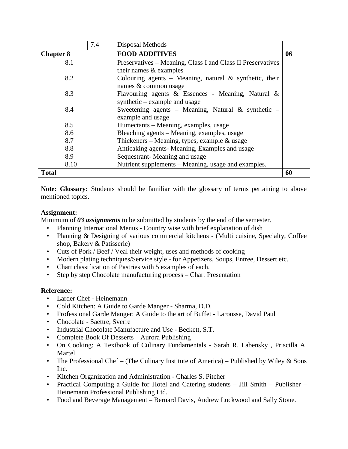|                  |      | 7.4 | Disposal Methods                                            |    |
|------------------|------|-----|-------------------------------------------------------------|----|
| <b>Chapter 8</b> |      |     | <b>FOOD ADDITIVES</b>                                       | 06 |
|                  | 8.1  |     | Preservatives – Meaning, Class I and Class II Preservatives |    |
|                  |      |     | their names & examples                                      |    |
|                  | 8.2  |     | Colouring agents – Meaning, natural $\&$ synthetic, their   |    |
|                  |      |     | names & common usage                                        |    |
|                  | 8.3  |     | Flavouring agents & Essences - Meaning, Natural &           |    |
|                  |      |     | synthetic – example and usage                               |    |
|                  | 8.4  |     | Sweetening agents – Meaning, Natural & synthetic –          |    |
|                  |      |     | example and usage                                           |    |
|                  | 8.5  |     | Humectants - Meaning, examples, usage                       |    |
|                  | 8.6  |     | Bleaching agents – Meaning, examples, usage                 |    |
|                  | 8.7  |     | Thickeners - Meaning, types, example $&$ usage              |    |
|                  | 8.8  |     | Anticaking agents- Meaning, Examples and usage              |    |
|                  | 8.9  |     | Sequestrant-Meaning and usage                               |    |
|                  | 8.10 |     | Nutrient supplements – Meaning, usage and examples.         |    |
| <b>Total</b>     |      |     |                                                             | 60 |

**Note: Glossary:** Students should be familiar with the glossary of terms pertaining to above mentioned topics.

# **Assignment:**

Minimum of *03 assignments* to be submitted by students by the end of the semester.

- Planning International Menus Country wise with brief explanation of dish
- Planning & Designing of various commercial kitchens (Multi cuisine, Specialty, Coffee shop, Bakery & Patisserie)
- Cuts of Pork / Beef / Veal their weight, uses and methods of cooking
- Modern plating techniques/Service style for Appetizers, Soups, Entree, Dessert etc.
- Chart classification of Pastries with 5 examples of each.
- Step by step Chocolate manufacturing process Chart Presentation

# **Reference:**

- Larder Chef Heinemann
- Cold Kitchen: A Guide to Garde Manger Sharma, D.D.
- Professional Garde Manger: A Guide to the art of Buffet Larousse, David Paul
- Chocolate Saettre, Sverre
- Industrial Chocolate Manufacture and Use Beckett, S.T.
- Complete Book Of Desserts Aurora Publishing
- On Cooking: A Textbook of Culinary Fundamentals Sarah R. Labensky , Priscilla A. Martel
- The Professional Chef (The Culinary Institute of America) Published by Wiley  $\&$  Sons Inc.
- Kitchen Organization and Administration Charles S. Pitcher
- Practical Computing a Guide for Hotel and Catering students Jill Smith Publisher Heinemann Professional Publishing Ltd.
- Food and Beverage Management Bernard Davis, Andrew Lockwood and Sally Stone.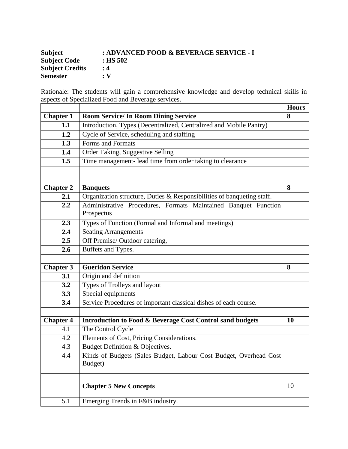| <b>Subject</b>         | : ADVANCED FOOD & BEVERAGE SERVICE - I |
|------------------------|----------------------------------------|
| <b>Subject Code</b>    | $:$ HS 502                             |
| <b>Subject Credits</b> | : 4                                    |
| <b>Semester</b>        | $\cdot$ V                              |

Rationale: The students will gain a comprehensive knowledge and develop technical skills in aspects of Specialized Food and Beverage services.

|                  |     |                                                                              | <b>Hours</b> |
|------------------|-----|------------------------------------------------------------------------------|--------------|
| <b>Chapter 1</b> |     | <b>Room Service/ In Room Dining Service</b>                                  | 8            |
|                  | 1.1 | Introduction, Types (Decentralized, Centralized and Mobile Pantry)           |              |
|                  | 1.2 | Cycle of Service, scheduling and staffing                                    |              |
|                  | 1.3 | Forms and Formats                                                            |              |
|                  | 1.4 | Order Taking, Suggestive Selling                                             |              |
|                  | 1.5 | Time management- lead time from order taking to clearance                    |              |
|                  |     |                                                                              |              |
| <b>Chapter 2</b> |     | <b>Banquets</b>                                                              | 8            |
|                  | 2.1 | Organization structure, Duties & Responsibilities of banqueting staff.       |              |
|                  | 2.2 | Administrative Procedures, Formats Maintained Banquet Function<br>Prospectus |              |
|                  | 2.3 | Types of Function (Formal and Informal and meetings)                         |              |
|                  | 2.4 | <b>Seating Arrangements</b>                                                  |              |
|                  | 2.5 | Off Premise/Outdoor catering,                                                |              |
|                  | 2.6 | Buffets and Types.                                                           |              |
| <b>Chapter 3</b> |     | <b>Gueridon Service</b>                                                      | 8            |
|                  | 3.1 | Origin and definition                                                        |              |
|                  | 3.2 | Types of Trolleys and layout                                                 |              |
|                  | 3.3 | Special equipments                                                           |              |
|                  | 3.4 | Service Procedures of important classical dishes of each course.             |              |
| <b>Chapter 4</b> |     | Introduction to Food & Beverage Cost Control sand budgets                    | 10           |
|                  | 4.1 | The Control Cycle                                                            |              |
|                  | 4.2 | Elements of Cost, Pricing Considerations.                                    |              |
|                  | 4.3 | Budget Definition & Objectives.                                              |              |
|                  | 4.4 | Kinds of Budgets (Sales Budget, Labour Cost Budget, Overhead Cost<br>Budget) |              |
|                  |     | <b>Chapter 5 New Concepts</b>                                                | 10           |
|                  | 5.1 | Emerging Trends in F&B industry.                                             |              |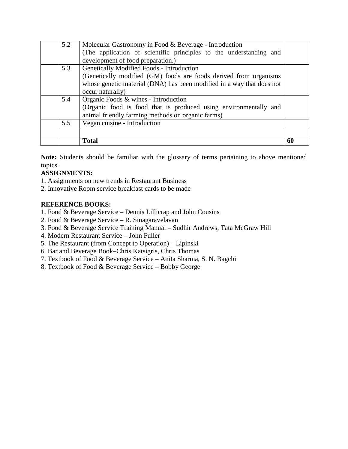|     | Total                                                                 | 60 |
|-----|-----------------------------------------------------------------------|----|
|     |                                                                       |    |
| 5.5 | Vegan cuisine - Introduction                                          |    |
|     | animal friendly farming methods on organic farms)                     |    |
|     | (Organic food is food that is produced using environmentally and      |    |
| 5.4 | Organic Foods & wines - Introduction                                  |    |
|     | occur naturally)                                                      |    |
|     | whose genetic material (DNA) has been modified in a way that does not |    |
|     | (Genetically modified (GM) foods are foods derived from organisms     |    |
| 5.3 | Genetically Modified Foods - Introduction                             |    |
|     | development of food preparation.)                                     |    |
|     | (The application of scientific principles to the understanding and    |    |
| 5.2 | Molecular Gastronomy in Food & Beverage - Introduction                |    |

**Note:** Students should be familiar with the glossary of terms pertaining to above mentioned topics.

# **ASSIGNMENTS:**

1. Assignments on new trends in Restaurant Business

2. Innovative Room service breakfast cards to be made

# **REFERENCE BOOKS:**

- 1. Food & Beverage Service Dennis Lillicrap and John Cousins
- 2. Food & Beverage Service R. Sinagaravelavan
- 3. Food & Beverage Service Training Manual Sudhir Andrews, Tata McGraw Hill
- 4. Modern Restaurant Service John Fuller
- 5. The Restaurant (from Concept to Operation) Lipinski
- 6. Bar and Beverage Book–Chris Katsigris, Chris Thomas
- 7. Textbook of Food & Beverage Service Anita Sharma, S. N. Bagchi
- 8. Textbook of Food & Beverage Service Bobby George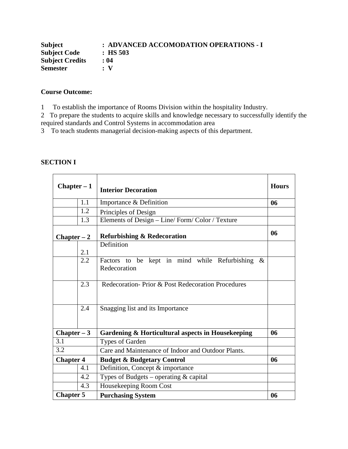| <b>Subject</b>         | : ADVANCED ACCOMODATION OPERATIONS - I |
|------------------------|----------------------------------------|
| <b>Subject Code</b>    | $\pm$ HS 503                           |
| <b>Subject Credits</b> | : 04                                   |
| <b>Semester</b>        | $\cdot$ V                              |

# **Course Outcome:**

1 To establish the importance of Rooms Division within the hospitality Industry.

2 To prepare the students to acquire skills and knowledge necessary to successfully identify the required standards and Control Systems in accommodation area

3 To teach students managerial decision-making aspects of this department.

| <b>SECTION I</b> |  |
|------------------|--|
|                  |  |

| $Chapter - 1$    |     | <b>Interior Decoration</b>                                            | <b>Hours</b> |
|------------------|-----|-----------------------------------------------------------------------|--------------|
|                  | 1.1 | Importance & Definition                                               | 06           |
|                  | 1.2 | Principles of Design                                                  |              |
|                  | 1.3 | Elements of Design - Line/ Form/ Color / Texture                      |              |
| $Chapter - 2$    |     | <b>Refurbishing &amp; Redecoration</b>                                | 06           |
|                  | 2.1 | Definition                                                            |              |
|                  | 2.2 | Factors to be kept in mind while Refurbishing<br>$\&$<br>Redecoration |              |
|                  | 2.3 | Redecoration-Prior & Post Redecoration Procedures                     |              |
|                  | 2.4 | Snagging list and its Importance                                      |              |
| Chapter $-3$     |     | Gardening & Horticultural aspects in Housekeeping                     | 06           |
| 3.1              |     | Types of Garden                                                       |              |
| 3.2              |     | Care and Maintenance of Indoor and Outdoor Plants.                    |              |
| <b>Chapter 4</b> |     | <b>Budget &amp; Budgetary Control</b>                                 | 06           |
|                  | 4.1 | Definition, Concept & importance                                      |              |
|                  | 4.2 | Types of Budgets – operating $&$ capital                              |              |
|                  | 4.3 | Housekeeping Room Cost                                                |              |
| <b>Chapter 5</b> |     | <b>Purchasing System</b>                                              | 06           |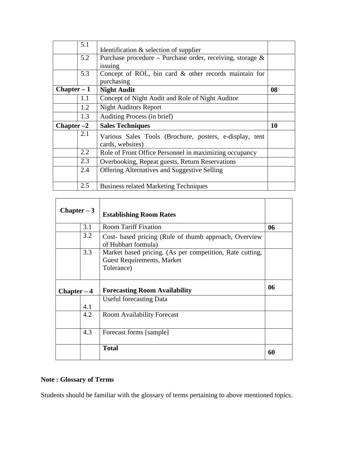|               | 5.1 | Identification & selection of supplier                                      |    |
|---------------|-----|-----------------------------------------------------------------------------|----|
|               | 5.2 | Purchase procedure – Purchase order, receiving, storage $\&$                |    |
|               |     | issuing                                                                     |    |
|               | 5.3 | Concept of ROL, bin card & other records maintain for                       |    |
|               |     | purchasing                                                                  |    |
| $Chapter - 1$ |     | <b>Night Audit</b>                                                          | 08 |
|               | 1.1 | Concept of Night Audit and Role of Night Auditor                            |    |
|               | 1.2 | <b>Night Auditors Report</b>                                                |    |
|               | 1.3 | Auditing Process (in brief)                                                 |    |
| Chapter $-2$  |     | <b>Sales Techniques</b>                                                     | 10 |
|               | 2.1 | Various Sales Tools (Brochure, posters, e-display, tent<br>cards, websites) |    |
|               | 2.2 | Role of Front Office Personnel in maximizing occupancy                      |    |
|               | 2.3 | Overbooking, Repeat guests, Return Reservations                             |    |
|               | 2.4 | <b>Offering Alternatives and Suggestive Selling</b>                         |    |
|               | 2.5 | <b>Business related Marketing Techniques</b>                                |    |

| $Chapter - 3$ |     | <b>Establishing Room Rates</b>                                                                              |    |
|---------------|-----|-------------------------------------------------------------------------------------------------------------|----|
|               | 3.1 | Room Tariff Fixation                                                                                        | 06 |
|               | 3.2 | Cost- based pricing (Rule of thumb approach, Overview<br>of Hubbart formula)                                |    |
|               | 3.3 | Market based pricing. (As per competition, Rate cutting,<br><b>Guest Requirements, Market</b><br>Tolerance) |    |
|               |     |                                                                                                             |    |
| $Chapter - 4$ |     | <b>Forecasting Room Availability</b>                                                                        | 06 |
|               |     | <b>Useful forecasting Data</b>                                                                              |    |
|               | 4.1 |                                                                                                             |    |
|               | 4.2 | <b>Room Availability Forecast</b>                                                                           |    |
|               | 4.3 | Forecast forms [sample]                                                                                     |    |

# **Note : Glossary of Terms**

Students should be familiar with the glossary of terms pertaining to above mentioned topics.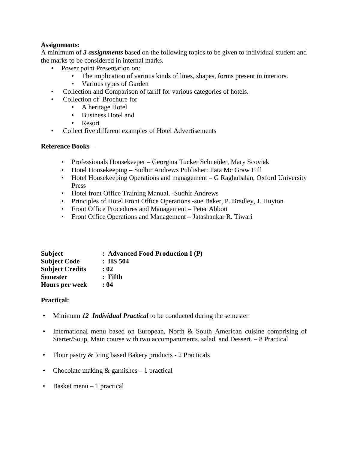# **Assignments:**

A minimum of *3 assignments* based on the following topics to be given to individual student and the marks to be considered in internal marks.

- Power point Presentation on:
	- The implication of various kinds of lines, shapes, forms present in interiors.
	- Various types of Garden
	- Collection and Comparison of tariff for various categories of hotels.
- Collection of Brochure for
	- A heritage Hotel
	- Business Hotel and
	- Resort
- Collect five different examples of Hotel Advertisements

# **Reference Books** –

- Professionals Housekeeper Georgina Tucker Schneider, Mary Scoviak
- Hotel Housekeeping Sudhir Andrews Publisher: Tata Mc Graw Hill
- Hotel Housekeeping Operations and management G Raghubalan, Oxford University Press
- Hotel front Office Training Manual. -Sudhir Andrews
- Principles of Hotel Front Office Operations -sue Baker, P. Bradley, J. Huyton
- Front Office Procedures and Management Peter Abbott
- Front Office Operations and Management Jatashankar R. Tiwari

| <b>Subject</b>         | : Advanced Food Production I (P) |
|------------------------|----------------------------------|
| <b>Subject Code</b>    | $\therefore$ HS 504              |
| <b>Subject Credits</b> | : 02                             |
| <b>Semester</b>        | $:$ Fifth                        |
| <b>Hours per week</b>  | : 04                             |

# **Practical:**

- Minimum 12 *Individual Practical* to be conducted during the semester
- International menu based on European, North & South American cuisine comprising of Starter/Soup, Main course with two accompaniments, salad and Dessert. – 8 Practical
- Flour pastry & Icing based Bakery products 2 Practicals
- Chocolate making  $&$  garnishes  $-1$  practical
- Basket menu 1 practical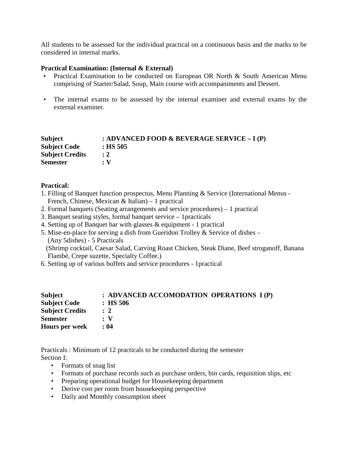All students to be assessed for the individual practical on a continuous basis and the marks to be considered in internal marks.

#### **Practical Examination: (Internal & External)**

- Practical Examination to be conducted on European OR North & South American Menu comprising of Starter/Salad, Soup, Main course with accompaniments and Dessert.
- The internal exams to be assessed by the internal examiner and external exams by the external examiner.

| : ADVANCED FOOD & BEVERAGE SERVICE $- I(P)$ |
|---------------------------------------------|
| $:$ HS 505                                  |
| $\div 2$                                    |
| $\cdot$ V                                   |
|                                             |

# **Practical:**

- 1. Filling of Banquet function prospectus, Menu Planning & Service (International Menus French, Chinese, Mexican & Italian) – 1 practical
- 2. Formal banquets (Seating arrangements and service procedures) 1 practical
- 3. Banquet seating styles, formal banquet service 1practicals
- 4. Setting up of Banquet bar with glasses & equipment 1 practical
- 5. Mise-en-place for serving a dish from Gueridon Trolley  $\&$  Service of dishes (Any 5dishes) - 5 Practicals (Shrimp cocktail, Caesar Salad, Carving Roast Chicken, Steak Diane, Beef stroganoff, Banana Flambé, Crepe suzette, Specialty Coffee.)
- 6. Setting up of various buffets and service procedures 1practical

| <b>Subject</b>         | : ADVANCED ACCOMODATION OPERATIONS I (P) |
|------------------------|------------------------------------------|
| <b>Subject Code</b>    | $\therefore$ HS 506                      |
| <b>Subject Credits</b> | $\therefore$ 2                           |
| <b>Semester</b>        | $\cdot$ V                                |
| <b>Hours per week</b>  | : 04                                     |

Practicals : Minimum of 12 practicals to be conducted during the semester Section I:

- Formats of snag list
- Formats of purchase records such as purchase orders, bin cards, requisition slips, etc
- Preparing operational budget for Housekeeping department
- Derive cost per room from housekeeping perspective
- Daily and Monthly consumption sheet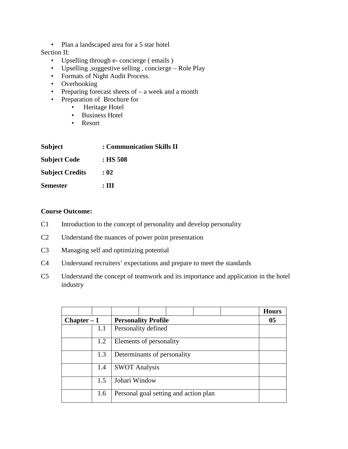• Plan a landscaped area for a 5 star hotel

# Section II:

- Upselling through e- concierge ( emails )
- Upselling ,suggestive selling , concierge Role Play
- Formats of Night Audit Process.
- Overbooking
- Preparing forecast sheets of  $-$  a week and a month
- Preparation of Brochure for
	- Heritage Hotel
	- Business Hotel
	- Resort

| <b>Subject</b>         | : Communication Skills II |
|------------------------|---------------------------|
| <b>Subject Code</b>    | : HS 508                  |
| <b>Subject Credits</b> | : 02                      |
| <b>Semester</b>        | : Ш                       |

# **Course Outcome:**

- C1 Introduction to the concept of personality and develop personality
- C2 Understand the nuances of power point presentation
- C3 Managing self and optimizing potential
- C4 Understand recruiters' expectations and prepare to meet the standards
- C5 Understand the concept of teamwork and its importance and application in the hotel industry

|               |     |                             |  |  |                                       |  | <b>Hours</b> |
|---------------|-----|-----------------------------|--|--|---------------------------------------|--|--------------|
| $Chapter - 1$ |     | <b>Personality Profile</b>  |  |  |                                       |  | 05           |
|               | 1.1 | Personality defined         |  |  |                                       |  |              |
|               | 1.2 | Elements of personality     |  |  |                                       |  |              |
|               | 1.3 | Determinants of personality |  |  |                                       |  |              |
|               | 1.4 | <b>SWOT Analysis</b>        |  |  |                                       |  |              |
|               | 1.5 | Johari Window               |  |  |                                       |  |              |
|               | 1.6 |                             |  |  | Personal goal setting and action plan |  |              |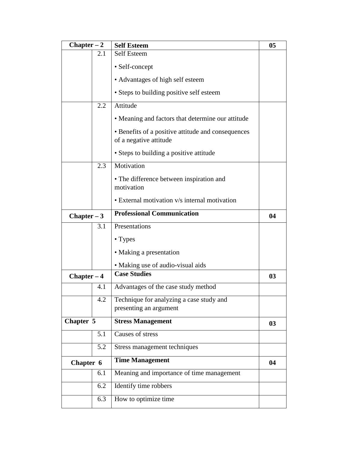| $Chapter - 2$ |                                     | <b>Self Esteem</b>                                                           |    |  |
|---------------|-------------------------------------|------------------------------------------------------------------------------|----|--|
|               | 2.1                                 | <b>Self Esteem</b>                                                           |    |  |
|               |                                     | • Self-concept                                                               |    |  |
|               |                                     | • Advantages of high self esteem                                             |    |  |
|               |                                     | • Steps to building positive self esteem                                     |    |  |
|               | 2.2                                 | Attitude                                                                     |    |  |
|               |                                     | • Meaning and factors that determine our attitude                            |    |  |
|               |                                     | • Benefits of a positive attitude and consequences<br>of a negative attitude |    |  |
|               |                                     | • Steps to building a positive attitude                                      |    |  |
|               | 2.3                                 | Motivation                                                                   |    |  |
|               |                                     | • The difference between inspiration and<br>motivation                       |    |  |
|               |                                     | • External motivation v/s internal motivation                                |    |  |
| Chapter $-3$  |                                     | <b>Professional Communication</b>                                            |    |  |
|               | 3.1                                 | Presentations                                                                |    |  |
|               |                                     | • Types                                                                      |    |  |
|               |                                     | • Making a presentation                                                      |    |  |
|               |                                     | • Making use of audio-visual aids                                            |    |  |
| $Chapter - 4$ |                                     | <b>Case Studies</b>                                                          | 03 |  |
|               | 4.1                                 | Advantages of the case study method                                          |    |  |
|               | 4.2                                 | Technique for analyzing a case study and                                     |    |  |
|               |                                     | presenting an argument                                                       |    |  |
| Chapter 5     |                                     | <b>Stress Management</b>                                                     | 03 |  |
|               | 5.1                                 | Causes of stress                                                             |    |  |
|               | 5.2                                 | Stress management techniques                                                 |    |  |
|               | <b>Time Management</b><br>Chapter 6 |                                                                              | 04 |  |
|               | 6.1                                 | Meaning and importance of time management                                    |    |  |
|               | 6.2                                 | Identify time robbers                                                        |    |  |
|               | 6.3                                 | How to optimize time                                                         |    |  |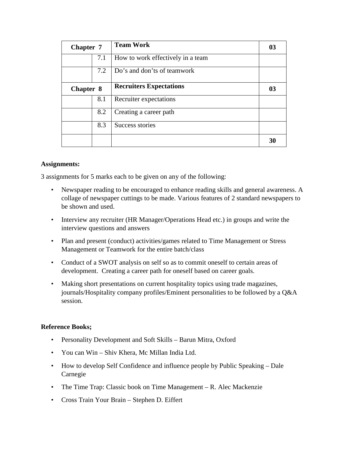| <b>Chapter 7</b> |     | <b>Team Work</b>                  | 03 |
|------------------|-----|-----------------------------------|----|
|                  | 7.1 | How to work effectively in a team |    |
|                  | 7.2 | Do's and don'ts of teamwork       |    |
| Chapter 8        |     | <b>Recruiters Expectations</b>    | 03 |
|                  | 8.1 | Recruiter expectations            |    |
|                  | 8.2 | Creating a career path            |    |
|                  | 8.3 | Success stories                   |    |
|                  |     |                                   | 30 |

# **Assignments:**

3 assignments for 5 marks each to be given on any of the following:

- Newspaper reading to be encouraged to enhance reading skills and general awareness. A collage of newspaper cuttings to be made. Various features of 2 standard newspapers to be shown and used.
- Interview any recruiter (HR Manager/Operations Head etc.) in groups and write the interview questions and answers
- Plan and present (conduct) activities/games related to Time Management or Stress Management or Teamwork for the entire batch/class
- Conduct of a SWOT analysis on self so as to commit oneself to certain areas of development. Creating a career path for oneself based on career goals.
- Making short presentations on current hospitality topics using trade magazines, journals/Hospitality company profiles/Eminent personalities to be followed by a Q&A session.

# **Reference Books;**

- Personality Development and Soft Skills Barun Mitra, Oxford
- You can Win Shiv Khera, Mc Millan India Ltd.
- How to develop Self Confidence and influence people by Public Speaking Dale Carnegie
- The Time Trap: Classic book on Time Management R. Alec Mackenzie
- Cross Train Your Brain Stephen D. Eiffert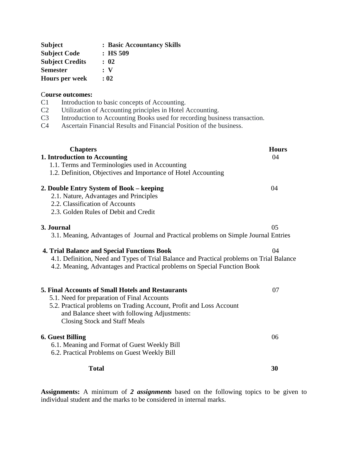| <b>Subject</b>         | : Basic Accountancy Skills |
|------------------------|----------------------------|
| <b>Subject Code</b>    | $:$ HS 509                 |
| <b>Subject Credits</b> | : 02                       |
| <b>Semester</b>        | : V                        |
| <b>Hours per week</b>  | : 02                       |

#### C**ourse outcomes:**

- C1 Introduction to basic concepts of Accounting.
- C2 Utilization of Accounting principles in Hotel Accounting.
- C3 Introduction to Accounting Books used for recording business transaction.<br>C4 Ascertain Financial Results and Financial Position of the business.
- Ascertain Financial Results and Financial Position of the business.

| <b>Chapters</b>                                                                                                                                                      | <b>Hours</b> |
|----------------------------------------------------------------------------------------------------------------------------------------------------------------------|--------------|
| 1. Introduction to Accounting                                                                                                                                        | 04           |
| 1.1. Terms and Terminologies used in Accounting                                                                                                                      |              |
| 1.2. Definition, Objectives and Importance of Hotel Accounting                                                                                                       |              |
| 2. Double Entry System of Book – keeping<br>2.1. Nature, Advantages and Principles<br>2.2. Classification of Accounts<br>2.3. Golden Rules of Debit and Credit       | 04           |
| 3. Journal                                                                                                                                                           | 05           |
| 3.1. Meaning, Advantages of Journal and Practical problems on Simple Journal Entries                                                                                 |              |
| <b>4. Trial Balance and Special Functions Book</b>                                                                                                                   | 04           |
| 4.1. Definition, Need and Types of Trial Balance and Practical problems on Trial Balance<br>4.2. Meaning, Advantages and Practical problems on Special Function Book |              |
| <b>5. Final Accounts of Small Hotels and Restaurants</b>                                                                                                             | 07           |
| 5.1. Need for preparation of Final Accounts                                                                                                                          |              |
| 5.2. Practical problems on Trading Account, Profit and Loss Account<br>and Balance sheet with following Adjustments:<br><b>Closing Stock and Staff Meals</b>         |              |
| <b>6. Guest Billing</b>                                                                                                                                              | 06           |
| 6.1. Meaning and Format of Guest Weekly Bill                                                                                                                         |              |
| 6.2. Practical Problems on Guest Weekly Bill                                                                                                                         |              |
| <b>Total</b>                                                                                                                                                         | 30           |

**Assignments:** A minimum of *2 assignments* based on the following topics to be given to individual student and the marks to be considered in internal marks.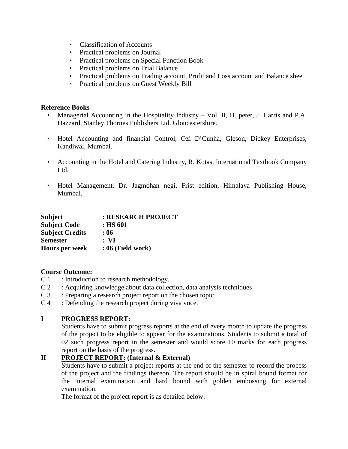- Classification of Accounts
- Practical problems on Journal
- Practical problems on Special Function Book
- Practical problems on Trial Balance
- Practical problems on Trading account, Profit and Loss account and Balance sheet
- Practical problems on Guest Weekly Bill

# **Reference Books –**

- Managerial Accounting in the Hospitality Industry Vol. II, H. peter, J. Harris and P.A. Hazzard, Stanley Thornes Publishers Ltd. Gloucestershire.
- Hotel Accounting and financial Control, Ozi D'Cunha, Gleson, Dickey Enterprises, Kandiwal, Mumbai.
- Accounting in the Hotel and Catering Industry, R. Kotas, International Textbook Company Ltd.
- Hotel Management, Dr. Jagmohan negi, Frist edition, Himalaya Publishing House, Mumbai.

| <b>Subject</b>         | : RESEARCH PROJECT  |
|------------------------|---------------------|
| <b>Subject Code</b>    | : HS 601            |
| <b>Subject Credits</b> | : 06                |
| <b>Semester</b>        | : VI                |
| <b>Hours per week</b>  | $: 06$ (Field work) |

# **Course Outcome:**

- C 1 : Introduction to research methodology.
- C 2 : Acquiring knowledge about data collection, data analysis techniques
- C 3 : Preparing a research project report on the chosen topic
- C 4 : Defending the research project during viva voce.

# **I PROGRESS REPORT:**

Students have to submit progress reports at the end of every month to update the progress of the project to be eligible to appear for the examinations. Students to submit a total of 02 such progress report in the semester and would score 10 marks for each progress report on the basis of the progress.

# **II PROJECT REPORT: (Internal & External)**

Students have to submit a project reports at the end of the semester to record the process of the project and the findings thereon. The report should be in spiral bound format for the internal examination and hard bound with golden embossing for external examination.

The format of the project report is as detailed below: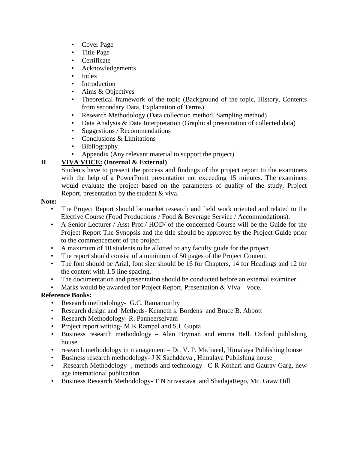- Cover Page
- Title Page
- Certificate
- Acknowledgements
- Index
- Introduction
- Aims & Objectives
- Theoretical framework of the topic (Background of the topic, History, Contents from secondary Data, Explanation of Terms)
- Research Methodology (Data collection method, Sampling method)
- Data Analysis & Data Interpretation (Graphical presentation of collected data)
- Suggestions / Recommendations
- Conclusions & Limitations
- Bibliography
- Appendix (Any relevant material to support the project)

# **II VIVA VOCE: (Internal & External)**

Students have to present the process and findings of the project report to the examiners with the help of a PowerPoint presentation not exceeding 15 minutes. The examiners would evaluate the project based on the parameters of quality of the study, Project Report, presentation by the student & viva.

# **Note:**

- The Project Report should be market research and field work oriented and related to the Elective Course (Food Productions / Food & Beverage Service / Accommodations).
- A Senior Lecturer / Asst Prof./ HOD/ of the concerned Course will be the Guide for the Project Report The Synopsis and the title should be approved by the Project Guide prior to the commencement of the project.
- A maximum of 10 students to be allotted to any faculty guide for the project.
- The report should consist of a minimum of 50 pages of the Project Content.
- The font should be Arial, font size should be 16 for Chapters, 14 for Headings and 12 for the content with 1.5 line spacing.
- The documentation and presentation should be conducted before an external examiner.
- Marks would be awarded for Project Report, Presentation & Viva voce.

# **Reference Books:**

- Research methodology- G.C. Ramamurthy
- Research design and Methods- Kenneth s. Bordens and Bruce B. Abbott
- Research Methodology- R. Panneerselvam
- Project report writing- M.K Rampal and S.L Gupta
- Business research methodology Alan Bryman and emma Bell. Oxford publishing house
- research methodology in management Dr. V. P. Michaeel, Himalaya Publishing house
- Business research methodology- J K Sachddeva , Himalaya Publishing house
- Research Methodology, methods and technology– C R Kothari and Gaurav Garg, new age international publication
- Business Research Methodology- T N Srivastava and ShailajaRego, Mc. Graw Hill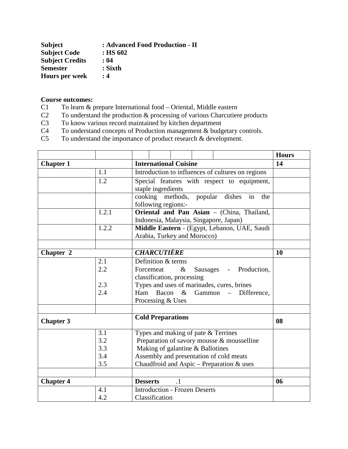| <b>Subject</b>         | : Advanced Food Production - II |
|------------------------|---------------------------------|
| <b>Subject Code</b>    | $:$ HS 602                      |
| <b>Subject Credits</b> | : 04                            |
| <b>Semester</b>        | : Sixth                         |
| <b>Hours per week</b>  | : 4                             |

# **Course outcomes:**<br> **C1** To learn & p

- To learn  $&$  prepare International food Oriental, Middle eastern
- C2 To understand the production & processing of various Charcutiere products<br>C3 To know various record maintained by kitchen department
- To know various record maintained by kitchen department
- C4 To understand concepts of Production management & budgetary controls.
- C5 To understand the importance of product research & development.

|                  |       |                                                                                   |                                                   |                                      |  |                                              | <b>Hours</b> |  |
|------------------|-------|-----------------------------------------------------------------------------------|---------------------------------------------------|--------------------------------------|--|----------------------------------------------|--------------|--|
| <b>Chapter 1</b> |       |                                                                                   | <b>International Cuisine</b>                      |                                      |  |                                              |              |  |
|                  | 1.1   |                                                                                   | Introduction to influences of cultures on regions |                                      |  |                                              |              |  |
|                  | 1.2   |                                                                                   |                                                   |                                      |  | Special features with respect to equipment,  |              |  |
|                  |       |                                                                                   | staple ingredients                                |                                      |  |                                              |              |  |
|                  |       |                                                                                   |                                                   |                                      |  | cooking methods, popular dishes<br>in<br>the |              |  |
|                  |       |                                                                                   | following regions:-                               |                                      |  |                                              |              |  |
|                  | 1.2.1 |                                                                                   |                                                   |                                      |  | Oriental and Pan Asian - (China, Thailand,   |              |  |
|                  |       |                                                                                   |                                                   |                                      |  | Indonesia, Malaysia, Singapore, Japan)       |              |  |
|                  | 1.2.2 |                                                                                   |                                                   |                                      |  | Middle Eastern - (Egypt, Lebanon, UAE, Saudi |              |  |
|                  |       |                                                                                   |                                                   | Arabia, Turkey and Morocco)          |  |                                              |              |  |
|                  |       |                                                                                   |                                                   |                                      |  |                                              |              |  |
| Chapter 2        |       |                                                                                   | <b>CHARCUTIÈRE</b>                                |                                      |  |                                              | 10           |  |
|                  | 2.1   |                                                                                   | Definition & terms                                |                                      |  |                                              |              |  |
|                  | 2.2   |                                                                                   | $\&$<br>Forcemeat<br>Sausages - Production,       |                                      |  |                                              |              |  |
|                  |       |                                                                                   | classification, processing                        |                                      |  |                                              |              |  |
|                  | 2.3   |                                                                                   | Types and uses of marinades, cures, brines        |                                      |  |                                              |              |  |
|                  | 2.4   | Ham                                                                               |                                                   |                                      |  |                                              |              |  |
|                  |       | Processing & Uses                                                                 |                                                   |                                      |  |                                              |              |  |
|                  |       |                                                                                   |                                                   |                                      |  |                                              |              |  |
| <b>Chapter 3</b> |       | <b>Cold Preparations</b>                                                          |                                                   |                                      |  |                                              | 08           |  |
|                  |       |                                                                                   |                                                   |                                      |  |                                              |              |  |
|                  | 3.1   | Types and making of pate & Terrines<br>Preparation of savory mousse & mousselline |                                                   |                                      |  |                                              |              |  |
|                  | 3.2   |                                                                                   |                                                   |                                      |  |                                              |              |  |
|                  | 3.3   | Making of galantine & Ballotines                                                  |                                                   |                                      |  |                                              |              |  |
|                  | 3.4   | Assembly and presentation of cold meats                                           |                                                   |                                      |  |                                              |              |  |
|                  | 3.5   |                                                                                   |                                                   |                                      |  | Chaudfroid and Aspic - Preparation & uses    |              |  |
|                  |       |                                                                                   |                                                   |                                      |  |                                              |              |  |
| <b>Chapter 4</b> |       | $\cdot$ 1<br><b>Desserts</b>                                                      |                                                   |                                      |  |                                              | 06           |  |
|                  | 4.1   |                                                                                   |                                                   | <b>Introduction - Frozen Deserts</b> |  |                                              |              |  |
|                  | 4.2   | Classification                                                                    |                                                   |                                      |  |                                              |              |  |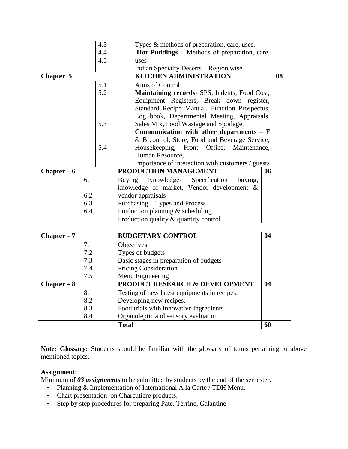|               |     | 4.3 |               | Types & methods of preparation, care, uses.         |    |    |  |
|---------------|-----|-----|---------------|-----------------------------------------------------|----|----|--|
|               |     | 4.4 |               | <b>Hot Puddings</b> – Methods of preparation, care, |    |    |  |
|               |     | 4.5 |               | uses                                                |    |    |  |
|               |     |     |               | Indian Specialty Deserts - Region wise              |    |    |  |
| Chapter 5     |     |     |               | <b>KITCHEN ADMINISTRATION</b>                       |    | 08 |  |
|               |     | 5.1 |               | Aims of Control                                     |    |    |  |
|               |     | 5.2 |               | Maintaining records- SPS, Indents, Food Cost,       |    |    |  |
|               |     |     |               | Equipment Registers, Break down register,           |    |    |  |
|               |     |     |               | Standard Recipe Manual, Function Prospectus,        |    |    |  |
|               |     |     |               | Log book, Departmental Meeting, Appraisals,         |    |    |  |
|               |     | 5.3 |               | Sales Mix, Food Wastage and Spoilage.               |    |    |  |
|               |     |     |               | Communication with other departments $- F$          |    |    |  |
|               |     |     |               | & B control, Store, Food and Beverage Service,      |    |    |  |
|               |     | 5.4 |               | Front Office,<br>Housekeeping,<br>Maintenance,      |    |    |  |
|               |     |     |               | Human Resource,                                     |    |    |  |
|               |     |     |               | Importance of interaction with customers / guests   |    |    |  |
| Chapter $-6$  |     |     |               | PRODUCTION MANAGEMENT                               | 06 |    |  |
|               | 6.1 |     | <b>Buying</b> | Knowledge-<br>Specification<br>buying,              |    |    |  |
|               |     |     |               | knowledge of market, Vendor development &           |    |    |  |
|               | 6.2 |     |               | vendor appraisals                                   |    |    |  |
|               | 6.3 |     |               | Purchasing – Types and Process                      |    |    |  |
|               | 6.4 |     |               | Production planning $&$ scheduling                  |    |    |  |
|               |     |     |               | Production quality & quantity control               |    |    |  |
|               |     |     |               |                                                     |    |    |  |
| Chapter $-7$  |     |     |               | <b>BUDGETARY CONTROL</b>                            | 04 |    |  |
|               | 7.1 |     |               | Objectives                                          |    |    |  |
|               | 7.2 |     |               | Types of budgets                                    |    |    |  |
|               | 7.3 |     |               | Basic stages in preparation of budgets              |    |    |  |
|               | 7.4 |     |               | <b>Pricing Consideration</b>                        |    |    |  |
|               | 7.5 |     |               | Menu Engineering                                    |    |    |  |
| $Chapter - 8$ |     |     |               | PRODUCT RESEARCH & DEVELOPMENT                      | 04 |    |  |
|               | 8.1 |     |               | Testing of new latest equipments in recipes.        |    |    |  |
|               | 8.2 |     |               | Developing new recipes.                             |    |    |  |
|               | 8.3 |     |               | Food trials with innovative ingredients             |    |    |  |
|               | 8.4 |     |               | Organoleptic and sensory evaluation                 |    |    |  |
|               |     |     | <b>Total</b>  |                                                     | 60 |    |  |

**Note: Glossary:** Students should be familiar with the glossary of terms pertaining to above mentioned topics.

# **Assignment:**

Minimum of *03 assignments* to be submitted by students by the end of the semester.

- Planning & Implementation of International A la Carte / TDH Menu.
- Chart presentation on Charcutiere products.
- Step by step procedures for preparing Pate, Terrine, Galantine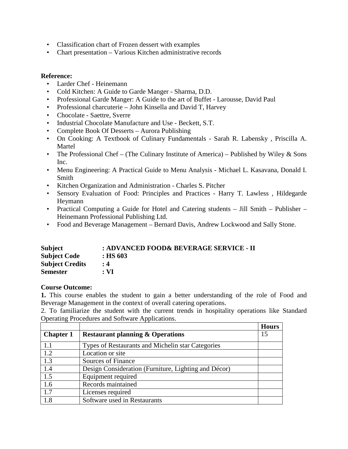- Classification chart of Frozen dessert with examples
- Chart presentation Various Kitchen administrative records

# **Reference:**

- Larder Chef Heinemann
- Cold Kitchen: A Guide to Garde Manger Sharma, D.D.
- Professional Garde Manger: A Guide to the art of Buffet Larousse, David Paul
- Professional charcuterie John Kinsella and David T, Harvey
- Chocolate Saettre, Sverre
- Industrial Chocolate Manufacture and Use Beckett, S.T.
- Complete Book Of Desserts Aurora Publishing
- On Cooking: A Textbook of Culinary Fundamentals Sarah R. Labensky , Priscilla A. Martel
- The Professional Chef (The Culinary Institute of America) Published by Wiley  $&$  Sons Inc.
- Menu Engineering: A Practical Guide to Menu Analysis Michael L. Kasavana, Donald I. Smith
- Kitchen Organization and Administration Charles S. Pitcher
- Sensory Evaluation of Food: Principles and Practices Harry T. Lawless , Hildegarde Heymann
- Practical Computing a Guide for Hotel and Catering students Jill Smith Publisher Heinemann Professional Publishing Ltd.
- Food and Beverage Management Bernard Davis, Andrew Lockwood and Sally Stone.

| <b>Subject</b>         | : ADVANCED FOOD& BEVERAGE SERVICE - II |
|------------------------|----------------------------------------|
| <b>Subject Code</b>    | $:$ HS 603                             |
| <b>Subject Credits</b> | $\cdot$ 4                              |
| <b>Semester</b>        | $: \mathbf{VI}$                        |

# **Course Outcome:**

**1.** This course enables the student to gain a better understanding of the role of Food and Beverage Management in the context of overall catering operations.

2. To familiarize the student with the current trends in hospitality operations like Standard Operating Procedures and Software Applications.

|                  |                                                      | <b>Hours</b> |
|------------------|------------------------------------------------------|--------------|
| <b>Chapter 1</b> | <b>Restaurant planning &amp; Operations</b>          | 15           |
| 1.1              | Types of Restaurants and Michelin star Categories    |              |
| 1.2              | Location or site                                     |              |
| 1.3              | Sources of Finance                                   |              |
| 1.4              | Design Consideration (Furniture, Lighting and Décor) |              |
| 1.5              | Equipment required                                   |              |
| 1.6              | Records maintained                                   |              |
| 1.7              | Licenses required                                    |              |
| 1.8              | Software used in Restaurants                         |              |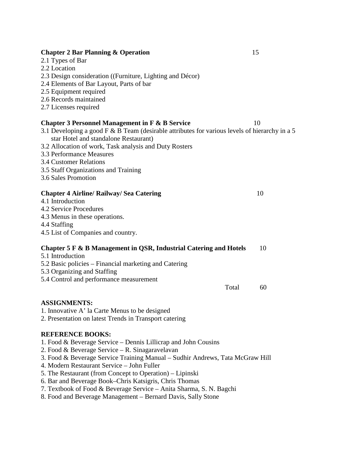# **Chapter 2 Bar Planning & Operation** 15

- 2.1 Types of Bar
- 2.2 Location
- 2.3 Design consideration ((Furniture, Lighting and Décor)
- 2.4 Elements of Bar Layout, Parts of bar
- 2.5 Equipment required
- 2.6 Records maintained
- 2.7 Licenses required

# **Chapter 3 Personnel Management in F & B Service** 10

- 3.1 Developing a good F & B Team (desirable attributes for various levels of hierarchy in a 5 star Hotel and standalone Restaurant)
- 3.2 Allocation of work, Task analysis and Duty Rosters
- 3.3 Performance Measures
- 3.4 Customer Relations
- 3.5 Staff Organizations and Training
- 3.6 Sales Promotion

#### **Chapter 4 Airline/ Railway/ Sea Catering** 10

- 4.1 Introduction
- 4.2 Service Procedures
- 4.3 Menus in these operations.
- 4.4 Staffing
- 4.5 List of Companies and country.

# **Chapter 5 F & B Management in QSR, Industrial Catering and Hotels** 10

- 5.1 Introduction
- 5.2 Basic policies Financial marketing and Catering
- 5.3 Organizing and Staffing
- 5.4 Control and performance measurement

#### **ASSIGNMENTS:**

- 1. Innovative A' la Carte Menus to be designed
- 2. Presentation on latest Trends in Transport catering

# **REFERENCE BOOKS:**

- 1. Food & Beverage Service Dennis Lillicrap and John Cousins
- 2. Food & Beverage Service R. Sinagaravelavan
- 3. Food & Beverage Service Training Manual Sudhir Andrews, Tata McGraw Hill
- 4. Modern Restaurant Service John Fuller
- 5. The Restaurant (from Concept to Operation) Lipinski
- 6. Bar and Beverage Book–Chris Katsigris, Chris Thomas
- 7. Textbook of Food & Beverage Service Anita Sharma, S. N. Bagchi
- 8. Food and Beverage Management Bernard Davis, Sally Stone

Total 60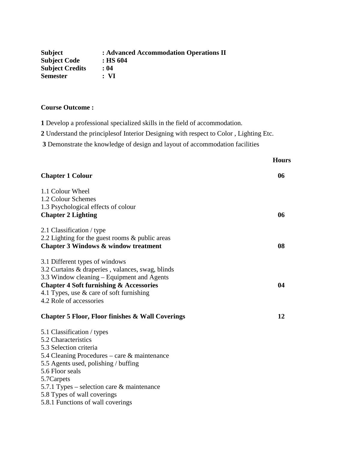| <b>Subject</b>         | : Advanced Accommodation Operations II |
|------------------------|----------------------------------------|
| <b>Subject Code</b>    | $:$ HS 604                             |
| <b>Subject Credits</b> | : 04                                   |
| <b>Semester</b>        | : VI                                   |

# **Course Outcome :**

**1** Develop a professional specialized skills in the field of accommodation.

**2** Understand the principlesof Interior Designing with respect to Color , Lighting Etc.

**3** Demonstrate the knowledge of design and layout of accommodation facilities

|                                                                                                    | <b>Hours</b> |
|----------------------------------------------------------------------------------------------------|--------------|
| <b>Chapter 1 Colour</b>                                                                            | 06           |
| 1.1 Colour Wheel<br>1.2 Colour Schemes                                                             |              |
| 1.3 Psychological effects of colour                                                                |              |
| <b>Chapter 2 Lighting</b>                                                                          | 06           |
| 2.1 Classification / type                                                                          |              |
| 2.2 Lighting for the guest rooms & public areas<br><b>Chapter 3 Windows &amp; window treatment</b> | 08           |
| 3.1 Different types of windows                                                                     |              |
| 3.2 Curtains & draperies, valances, swag, blinds                                                   |              |
| 3.3 Window cleaning – Equipment and Agents                                                         |              |
| <b>Chapter 4 Soft furnishing &amp; Accessories</b>                                                 | 04           |
| 4.1 Types, use $\&$ care of soft furnishing<br>4.2 Role of accessories                             |              |
|                                                                                                    |              |
| <b>Chapter 5 Floor, Floor finishes &amp; Wall Coverings</b>                                        | 12           |
| 5.1 Classification / types                                                                         |              |
| 5.2 Characteristics                                                                                |              |
| 5.3 Selection criteria                                                                             |              |
| 5.4 Cleaning Procedures – care & maintenance<br>5.5 Agents used, polishing / buffing               |              |
| 5.6 Floor seals                                                                                    |              |
| 5.7Carpets                                                                                         |              |
| 5.7.1 Types – selection care $\&$ maintenance                                                      |              |
| 5.8 Types of wall coverings<br>5.8.1 Functions of wall coverings                                   |              |
|                                                                                                    |              |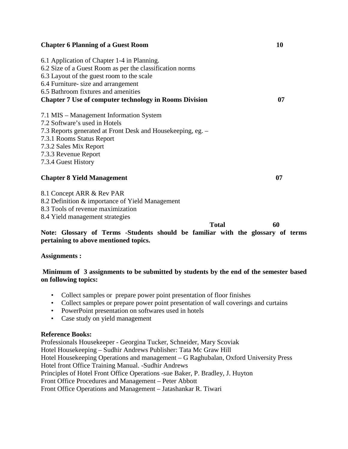| <b>Chapter 6 Planning of a Guest Room</b>                     | 10 |
|---------------------------------------------------------------|----|
| 6.1 Application of Chapter 1-4 in Planning.                   |    |
| 6.2 Size of a Guest Room as per the classification norms      |    |
| 6.3 Layout of the guest room to the scale                     |    |
| 6.4 Furniture- size and arrangement                           |    |
| 6.5 Bathroom fixtures and amenities                           |    |
| <b>Chapter 7 Use of computer technology in Rooms Division</b> | 07 |
| 7.1 MIS – Management Information System                       |    |
| 7.2 Software's used in Hotels                                 |    |
| 7.3 Reports generated at Front Desk and Housekeeping, eg. -   |    |
| 7.3.1 Rooms Status Report                                     |    |
| 7.3.2 Sales Mix Report                                        |    |
| 7.3.3 Revenue Report                                          |    |
| 7.3.4 Guest History                                           |    |
| <b>Chapter 8 Yield Management</b>                             | 07 |
| 8.1 Concept ARR & Rev PAR                                     |    |
| 8.2 Definition & importance of Yield Management               |    |
| 8.3 Tools of revenue maximization                             |    |

8.4 Yield management strategies

 **Total 60 Note: Glossary of Terms -Students should be familiar with the glossary of terms pertaining to above mentioned topics.** 

**Assignments :** 

# **Minimum of 3 assignments to be submitted by students by the end of the semester based on following topics:**

- Collect samples or prepare power point presentation of floor finishes
- Collect samples or prepare power point presentation of wall coverings and curtains
- PowerPoint presentation on softwares used in hotels
- Case study on yield management

# **Reference Books:**

Professionals Housekeeper - Georgina Tucker, Schneider, Mary Scoviak Hotel Housekeeping – Sudhir Andrews Publisher: Tata Mc Graw Hill Hotel Housekeeping Operations and management – G Raghubalan, Oxford University Press Hotel front Office Training Manual. -Sudhir Andrews Principles of Hotel Front Office Operations -sue Baker, P. Bradley, J. Huyton Front Office Procedures and Management – Peter Abbott Front Office Operations and Management – Jatashankar R. Tiwari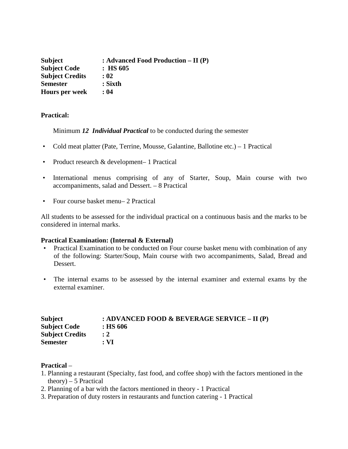| <b>Subject</b>         | : Advanced Food Production $- II(P)$ |
|------------------------|--------------------------------------|
| <b>Subject Code</b>    | $:$ HS 605                           |
| <b>Subject Credits</b> | : 02                                 |
| <b>Semester</b>        | $:$ Sixth                            |
| <b>Hours per week</b>  | : 04                                 |

# **Practical:**

Minimum *12 Individual Practical* to be conducted during the semester

- Cold meat platter (Pate, Terrine, Mousse, Galantine, Ballotine etc.) 1 Practical
- Product research & development– 1 Practical
- International menus comprising of any of Starter, Soup, Main course with two accompaniments, salad and Dessert. – 8 Practical
- Four course basket menu– 2 Practical

All students to be assessed for the individual practical on a continuous basis and the marks to be considered in internal marks.

#### **Practical Examination: (Internal & External)**

- Practical Examination to be conducted on Four course basket menu with combination of any of the following: Starter/Soup, Main course with two accompaniments, Salad, Bread and Dessert.
- The internal exams to be assessed by the internal examiner and external exams by the external examiner.

| <b>Subject</b>         | : ADVANCED FOOD & BEVERAGE SERVICE – II (P) |
|------------------------|---------------------------------------------|
| <b>Subject Code</b>    | $:$ HS 606                                  |
| <b>Subject Credits</b> | $\div 2$                                    |
| <b>Semester</b>        | $: \mathbf{VI}$                             |

#### **Practical** –

- 1. Planning a restaurant (Specialty, fast food, and coffee shop) with the factors mentioned in the  $theory) - 5$  Practical
- 2. Planning of a bar with the factors mentioned in theory 1 Practical
- 3. Preparation of duty rosters in restaurants and function catering 1 Practical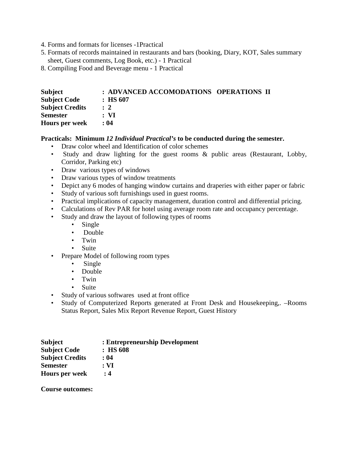- 4. Forms and formats for licenses -1Practical
- 5. Formats of records maintained in restaurants and bars (booking, Diary, KOT, Sales summary sheet, Guest comments, Log Book, etc.) - 1 Practical
- 8. Compiling Food and Beverage menu 1 Practical

| Subject                | : ADVANCED ACCOMODATIONS OPERATIONS II |  |
|------------------------|----------------------------------------|--|
| <b>Subject Code</b>    | $\therefore$ HS 607                    |  |
| <b>Subject Credits</b> | $\therefore$ 2                         |  |
| <b>Semester</b>        | : VI                                   |  |
| <b>Hours per week</b>  | : 04                                   |  |

# **Practicals: Minimum** *12 Individual Practical's* **to be conducted during the semester.**

- Draw color wheel and Identification of color schemes
- Study and draw lighting for the guest rooms & public areas (Restaurant, Lobby, Corridor, Parking etc)
- Draw various types of windows
- Draw various types of window treatments
- Depict any 6 modes of hanging window curtains and draperies with either paper or fabric
- Study of various soft furnishings used in guest rooms.
- Practical implications of capacity management, duration control and differential pricing.
- Calculations of Rev PAR for hotel using average room rate and occupancy percentage.
- Study and draw the layout of following types of rooms
	- Single
	- Double
	- Twin
	- Suite
- Prepare Model of following room types
	- Single
	- Double
	- Twin
	- Suite
- Study of various softwares used at front office
- Study of Computerized Reports generated at Front Desk and Housekeeping,. –Rooms Status Report, Sales Mix Report Revenue Report, Guest History

| <b>Subject</b>         | : Entrepreneurship Development |
|------------------------|--------------------------------|
| <b>Subject Code</b>    | $:$ HS 608                     |
| <b>Subject Credits</b> | : 04                           |
| <b>Semester</b>        | $: \mathbf{VI}$                |
| <b>Hours per week</b>  | : 4                            |

**Course outcomes:**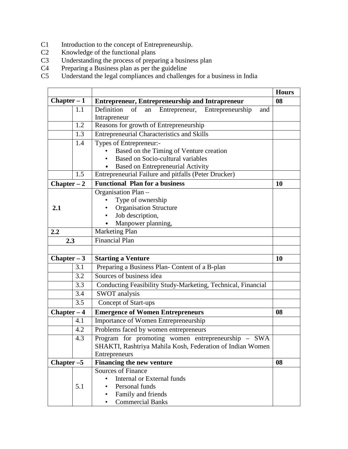- C1 Introduction to the concept of Entrepreneurship.<br>C2 Knowledge of the functional plans
- C2 Knowledge of the functional plans<br>C3 Understanding the process of prepa
- C3 Understanding the process of preparing a business plan
- C4 Preparing a Business plan as per the guideline
- C5 Understand the legal compliances and challenges for a business in India

|               |     |                                                                                    | <b>Hours</b> |
|---------------|-----|------------------------------------------------------------------------------------|--------------|
| $Chapter - 1$ |     | <b>Entrepreneur, Entrepreneurship and Intrapreneur</b>                             | 08           |
|               | 1.1 | Definition<br>of<br>Entrepreneur,<br>Entrepreneurship<br>an<br>and<br>Intrapreneur |              |
|               | 1.2 | Reasons for growth of Entrepreneurship                                             |              |
|               | 1.3 | <b>Entrepreneurial Characteristics and Skills</b>                                  |              |
|               | 1.4 | Types of Entrepreneur:-                                                            |              |
|               |     | Based on the Timing of Venture creation<br>$\bullet$                               |              |
|               |     | Based on Socio-cultural variables<br>$\bullet$                                     |              |
|               |     | Based on Entrepreneurial Activity                                                  |              |
|               | 1.5 | Entrepreneurial Failure and pitfalls (Peter Drucker)                               |              |
| $Chapter - 2$ |     | <b>Functional Plan for a business</b>                                              | 10           |
|               |     | Organisation Plan -                                                                |              |
|               |     | Type of ownership                                                                  |              |
| 2.1           |     | <b>Organisation Structure</b>                                                      |              |
|               |     | Job description,                                                                   |              |
|               |     | Manpower planning,                                                                 |              |
| 2.2           |     | Marketing Plan                                                                     |              |
| 2.3           |     | <b>Financial Plan</b>                                                              |              |
|               |     |                                                                                    |              |
| Chapter $-3$  |     | <b>Starting a Venture</b>                                                          | 10           |
|               | 3.1 | Preparing a Business Plan- Content of a B-plan                                     |              |
|               | 3.2 | Sources of business idea                                                           |              |
|               | 3.3 | Conducting Feasibility Study-Marketing, Technical, Financial                       |              |
|               | 3.4 | <b>SWOT</b> analysis                                                               |              |
|               | 3.5 | Concept of Start-ups                                                               |              |
| $Chapter - 4$ |     | <b>Emergence of Women Entrepreneurs</b>                                            | 08           |
|               | 4.1 | Importance of Women Entrepreneurship                                               |              |
|               | 4.2 | Problems faced by women entrepreneurs                                              |              |
|               | 4.3 | Program for promoting women entrepreneurship - SWA                                 |              |
|               |     | SHAKTI, Rashtriya Mahila Kosh, Federation of Indian Women                          |              |
|               |     | Entrepreneurs                                                                      |              |
| Chapter $-5$  |     | Financing the new venture                                                          | 08           |
|               |     | <b>Sources of Finance</b>                                                          |              |
|               |     | Internal or External funds<br>$\bullet$                                            |              |
|               | 5.1 | Personal funds<br>$\bullet$                                                        |              |
|               |     | Family and friends<br>٠                                                            |              |
|               |     | <b>Commercial Banks</b><br>٠                                                       |              |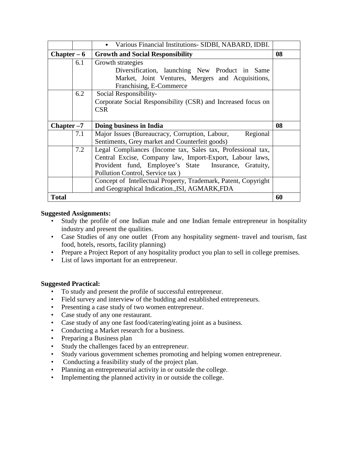|               |     | Various Financial Institutions- SIDBI, NABARD, IDBI.           |    |
|---------------|-----|----------------------------------------------------------------|----|
| $Chapter - 6$ |     | <b>Growth and Social Responsibility</b>                        | 08 |
|               | 6.1 | Growth strategies                                              |    |
|               |     | Diversification, launching New Product in Same                 |    |
|               |     | Market, Joint Ventures, Mergers and Acquisitions,              |    |
|               |     | Franchising, E-Commerce                                        |    |
|               | 6.2 | Social Responsibility-                                         |    |
|               |     | Corporate Social Responsibility (CSR) and Increased focus on   |    |
|               |     | <b>CSR</b>                                                     |    |
|               |     |                                                                |    |
| $Chapter -7$  |     |                                                                |    |
|               |     | Doing business in India                                        | 08 |
|               | 7.1 | Regional<br>Major Issues (Bureaucracy, Corruption, Labour,     |    |
|               |     | Sentiments, Grey market and Counterfeit goods)                 |    |
|               | 7.2 | Legal Compliances (Income tax, Sales tax, Professional tax,    |    |
|               |     | Central Excise, Company law, Import-Export, Labour laws,       |    |
|               |     | Provident fund, Employee's State Insurance, Gratuity,          |    |
|               |     | Pollution Control, Service tax)                                |    |
|               |     | Concept of Intellectual Property, Trademark, Patent, Copyright |    |
|               |     | and Geographical Indication., ISI, AGMARK, FDA                 |    |

# **Suggested Assignments:**

- Study the profile of one Indian male and one Indian female entrepreneur in hospitality industry and present the qualities.
- Case Studies of any one outlet (From any hospitality segment- travel and tourism, fast food, hotels, resorts, facility planning)
- Prepare a Project Report of any hospitality product you plan to sell in college premises.
- List of laws important for an entrepreneur.

# **Suggested Practical:**

- To study and present the profile of successful entrepreneur.
- Field survey and interview of the budding and established entrepreneurs.
- Presenting a case study of two women entrepreneur.
- Case study of any one restaurant.
- Case study of any one fast food/catering/eating joint as a business.
- Conducting a Market research for a business.
- Preparing a Business plan
- Study the challenges faced by an entrepreneur.
- Study various government schemes promoting and helping women entrepreneur.
- Conducting a feasibility study of the project plan.
- Planning an entrepreneurial activity in or outside the college.
- Implementing the planned activity in or outside the college.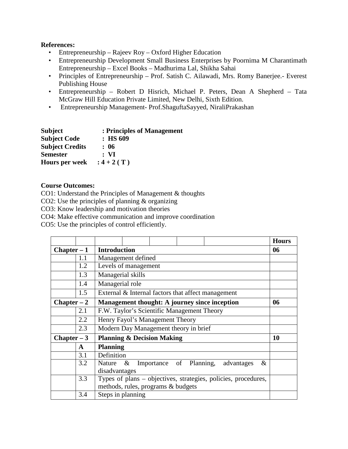# **References:**

- Entrepreneurship Rajeev Roy Oxford Higher Education
- Entrepreneurship Development Small Business Enterprises by Poornima M Charantimath Entrepreneurship – Excel Books – Madhurima Lal, Shikha Sahai
- Principles of Entrepreneurship Prof. Satish C. Ailawadi, Mrs. Romy Banerjee.- Everest Publishing House
- Entrepreneurship Robert D Hisrich, Michael P. Peters, Dean A Shepherd Tata McGraw Hill Education Private Limited, New Delhi, Sixth Edition.
- Entrepreneurship Management- Prof.ShaguftaSayyed, NiraliPrakashan

| <b>Subject</b>         | : Principles of Management |
|------------------------|----------------------------|
| <b>Subject Code</b>    | $:$ HS 609                 |
| <b>Subject Credits</b> | : 06                       |
| <b>Semester</b>        | : VI                       |
| <b>Hours per week</b>  | $: 4 + 2(T)$               |

# **Course Outcomes:**

CO1: Understand the Principles of Management & thoughts

CO2: Use the principles of planning & organizing

CO3: Know leadership and motivation theories

CO4: Make effective communication and improve coordination

CO5: Use the principles of control efficiently.

|                                      |     |                                                                |      |                         |    |            |   | <b>Hours</b> |
|--------------------------------------|-----|----------------------------------------------------------------|------|-------------------------|----|------------|---|--------------|
| <b>Introduction</b><br>$Chapter - 1$ |     |                                                                |      |                         | 06 |            |   |              |
|                                      | 1.1 | Management defined                                             |      |                         |    |            |   |              |
|                                      | 1.2 | Levels of management                                           |      |                         |    |            |   |              |
|                                      | 1.3 | Managerial skills                                              |      |                         |    |            |   |              |
|                                      | 1.4 | Managerial role                                                |      |                         |    |            |   |              |
|                                      | 1.5 | External & Internal factors that affect management             |      |                         |    |            |   |              |
| $Chapter - 2$                        |     | Management thought: A journey since inception                  |      |                         |    |            |   | 06           |
|                                      | 2.1 | F.W. Taylor's Scientific Management Theory                     |      |                         |    |            |   |              |
|                                      | 2.2 | Henry Fayol's Management Theory                                |      |                         |    |            |   |              |
|                                      | 2.3 | Modern Day Management theory in brief                          |      |                         |    |            |   |              |
| Chapter $-3$                         |     | <b>Planning &amp; Decision Making</b>                          |      |                         |    |            |   | 10           |
|                                      | A   | <b>Planning</b>                                                |      |                         |    |            |   |              |
|                                      | 3.1 | Definition                                                     |      |                         |    |            |   |              |
|                                      | 3.2 | Nature                                                         | $\&$ | Importance of Planning, |    | advantages | & |              |
|                                      |     | disadvantages                                                  |      |                         |    |            |   |              |
|                                      | 3.3 | Types of plans – objectives, strategies, policies, procedures, |      |                         |    |            |   |              |
|                                      |     | methods, rules, programs & budgets                             |      |                         |    |            |   |              |
|                                      | 3.4 | Steps in planning                                              |      |                         |    |            |   |              |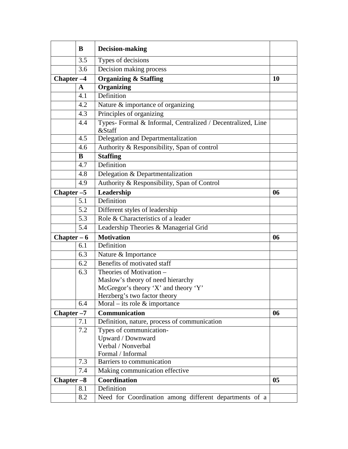|                       | B            | <b>Decision-making</b>                                                |           |
|-----------------------|--------------|-----------------------------------------------------------------------|-----------|
|                       | 3.5          | Types of decisions                                                    |           |
|                       | 3.6          | Decision making process                                               |           |
| Chapter <sub>-4</sub> |              | <b>Organizing &amp; Staffing</b>                                      | <b>10</b> |
|                       | $\mathbf{A}$ | <b>Organizing</b>                                                     |           |
|                       | 4.1          | Definition                                                            |           |
|                       | 4.2          | Nature & importance of organizing                                     |           |
|                       | 4.3          | Principles of organizing                                              |           |
|                       | 4.4          | Types- Formal & Informal, Centralized / Decentralized, Line<br>&Staff |           |
|                       | 4.5          | Delegation and Departmentalization                                    |           |
|                       | 4.6          | Authority & Responsibility, Span of control                           |           |
|                       | B            | <b>Staffing</b>                                                       |           |
|                       | 4.7          | Definition                                                            |           |
|                       | 4.8          | Delegation & Departmentalization                                      |           |
|                       | 4.9          | Authority & Responsibility, Span of Control                           |           |
| Chapter $-5$          |              | Leadership                                                            | 06        |
|                       | 5.1          | Definition                                                            |           |
|                       | 5.2          | Different styles of leadership                                        |           |
|                       | 5.3          | Role & Characteristics of a leader                                    |           |
|                       | 5.4          | Leadership Theories & Managerial Grid                                 |           |
| Chapter $-6$          |              | <b>Motivation</b>                                                     | 06        |
|                       | 6.1          | Definition                                                            |           |
|                       | 6.3          | Nature & Importance                                                   |           |
|                       | 6.2          | Benefits of motivated staff                                           |           |
|                       | 6.3          | Theories of Motivation -                                              |           |
|                       |              | Maslow's theory of need hierarchy                                     |           |
|                       |              | McGregor's theory 'X' and theory 'Y'                                  |           |
|                       | 6.4          | Herzberg's two factor theory<br>Moral – its role $&$ importance       |           |
|                       |              | Communication                                                         |           |
| Chapter <sub>-7</sub> | 7.1          | Definition, nature, process of communication                          | 06        |
|                       | 7.2          | Types of communication-                                               |           |
|                       |              | Upward / Downward                                                     |           |
|                       |              | Verbal / Nonverbal                                                    |           |
|                       |              | Formal / Informal                                                     |           |
|                       | 7.3          | Barriers to communication                                             |           |
|                       | 7.4          | Making communication effective                                        |           |
| Chapter -8            |              | Coordination                                                          | 05        |
|                       | 8.1          | Definition                                                            |           |
|                       | 8.2          | Need for Coordination among different departments of a                |           |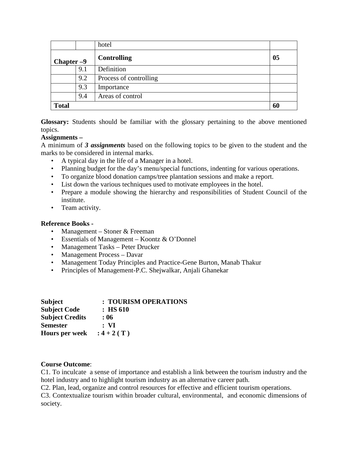|              |     | hotel                  |    |
|--------------|-----|------------------------|----|
| Chapter $-9$ |     | <b>Controlling</b>     | 05 |
|              | 9.1 | Definition             |    |
|              | 9.2 | Process of controlling |    |
|              | 9.3 | Importance             |    |
|              | 9.4 | Areas of control       |    |
| <b>Total</b> |     |                        | 60 |

**Glossary:** Students should be familiar with the glossary pertaining to the above mentioned topics.

# **Assignments –**

A minimum of *3 assignments* based on the following topics to be given to the student and the marks to be considered in internal marks.

- A typical day in the life of a Manager in a hotel.
- Planning budget for the day's menu/special functions, indenting for various operations.
- To organize blood donation camps/tree plantation sessions and make a report.
- List down the various techniques used to motivate employees in the hotel.
- Prepare a module showing the hierarchy and responsibilities of Student Council of the institute.
- Team activity.

#### **Reference Books -**

- Management Stoner & Freeman
- Essentials of Management Koontz & O'Donnel
- Management Tasks Peter Drucker
- Management Process Davar
- Management Today Principles and Practice-Gene Burton, Manab Thakur
- Principles of Management-P.C. Shejwalkar, Anjali Ghanekar

| <b>Subject</b>         | : TOURISM OPERATIONS |
|------------------------|----------------------|
| <b>Subject Code</b>    | $:$ HS 610           |
| <b>Subject Credits</b> | : 06                 |
| <b>Semester</b>        | : VI                 |
| <b>Hours per week</b>  | $: 4 + 2(T)$         |

#### **Course Outcome**:

C1. To inculcate a sense of importance and establish a link between the tourism industry and the hotel industry and to highlight tourism industry as an alternative career path.

C2. Plan, lead, organize and control resources for effective and efficient tourism operations.

C3. Contextualize tourism within broader cultural, environmental, and economic dimensions of society.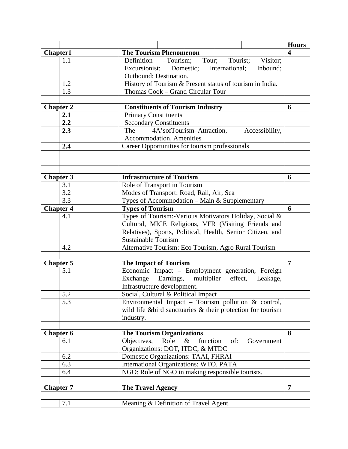|                  |                                                              | <b>Hours</b> |
|------------------|--------------------------------------------------------------|--------------|
| Chapter1         | <b>The Tourism Phenomenon</b>                                | 4            |
| 1.1              | Definition –Tourism;<br>Tour;<br>Tourist;<br>Visitor;        |              |
|                  | Excursionist;<br>Domestic;<br>International;<br>Inbound;     |              |
|                  | Outbound; Destination.                                       |              |
| 1.2              | History of Tourism & Present status of tourism in India.     |              |
| 1.3              | Thomas Cook - Grand Circular Tour                            |              |
|                  |                                                              |              |
| <b>Chapter 2</b> | <b>Constituents of Tourism Industry</b>                      | 6            |
| 2.1              | <b>Primary Constituents</b>                                  |              |
| 2.2              | <b>Secondary Constituents</b>                                |              |
| 2.3              | 4A'sofTourism-Attraction,<br>Accessibility,<br>The           |              |
|                  | Accommodation, Amenities                                     |              |
| 2.4              | Career Opportunities for tourism professionals               |              |
|                  |                                                              |              |
| <b>Chapter 3</b> | <b>Infrastructure of Tourism</b>                             | 6            |
| 3.1              | Role of Transport in Tourism                                 |              |
| 3.2              | Modes of Transport: Road, Rail, Air, Sea                     |              |
| 3.3              | Types of Accommodation - Main & Supplementary                |              |
| <b>Chapter 4</b> | <b>Types of Tourism</b>                                      | 6            |
| 4.1              | Types of Tourism:-Various Motivators Holiday, Social &       |              |
|                  | Cultural, MICE Religious, VFR (Visiting Friends and          |              |
|                  | Relatives), Sports, Political, Health, Senior Citizen, and   |              |
|                  | <b>Sustainable Tourism</b>                                   |              |
| 4.2              | Alternative Tourism: Eco Tourism, Agro Rural Tourism         |              |
|                  |                                                              |              |
| <b>Chapter 5</b> | <b>The Impact of Tourism</b>                                 | 7            |
| 5.1              | Economic Impact - Employment generation, Foreign             |              |
|                  | Exchange Earnings, multiplier effect,<br>Leakage,            |              |
|                  | Infrastructure development.                                  |              |
| 5.2              | Social, Cultural & Political Impact                          |              |
| 5.3              | Environmental Impact – Tourism pollution $\&$ control,       |              |
|                  | wild life & bird sanctuaries & their protection for tourism  |              |
|                  | industry.                                                    |              |
|                  |                                                              |              |
| <b>Chapter 6</b> | <b>The Tourism Organizations</b>                             | 8            |
| 6.1              | Objectives,<br>Role<br>function<br>$\&$<br>of:<br>Government |              |
|                  | Organizations: DOT, ITDC, & MTDC                             |              |
| 6.2              | Domestic Organizations: TAAI, FHRAI                          |              |
| 6.3              | International Organizations: WTO, PATA                       |              |
| 6.4              | NGO: Role of NGO in making responsible tourists.             |              |
|                  |                                                              |              |
| <b>Chapter 7</b> | <b>The Travel Agency</b>                                     | 7            |
|                  |                                                              |              |
| 7.1              | Meaning & Definition of Travel Agent.                        |              |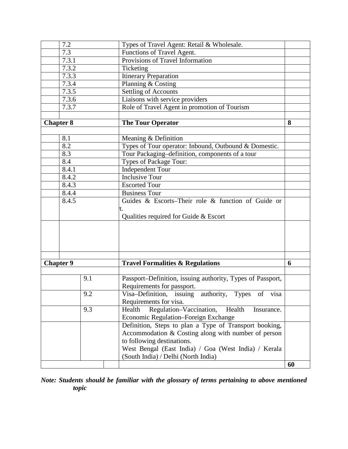| 7.2              |     | Types of Travel Agent: Retail & Wholesale.                 |    |
|------------------|-----|------------------------------------------------------------|----|
| 7.3              |     | Functions of Travel Agent.                                 |    |
| 7.3.1            |     | Provisions of Travel Information                           |    |
| 7.3.2            |     | Ticketing                                                  |    |
| 7.3.3            |     | <b>Itinerary Preparation</b>                               |    |
| 7.3.4            |     | Planning & Costing                                         |    |
| 7.3.5            |     | Settling of Accounts                                       |    |
| 7.3.6            |     | Liaisons with service providers                            |    |
| 7.3.7            |     | Role of Travel Agent in promotion of Tourism               |    |
|                  |     |                                                            |    |
| <b>Chapter 8</b> |     | <b>The Tour Operator</b>                                   | 8  |
|                  |     |                                                            |    |
| 8.1              |     | Meaning & Definition                                       |    |
| 8.2              |     | Types of Tour operator: Inbound, Outbound & Domestic.      |    |
| 8.3              |     | Tour Packaging-definition, components of a tour            |    |
| 8.4              |     | Types of Package Tour:                                     |    |
| 8.4.1            |     | Independent Tour                                           |    |
| 8.4.2            |     | <b>Inclusive Tour</b>                                      |    |
| 8.4.3            |     | <b>Escorted Tour</b>                                       |    |
| 8.4.4            |     | <b>Business Tour</b>                                       |    |
| 8.4.5            |     | Guides & Escorts-Their role & function of Guide or         |    |
|                  |     | í.                                                         |    |
|                  |     | Qualities required for Guide & Escort                      |    |
|                  |     |                                                            |    |
|                  |     |                                                            |    |
|                  |     |                                                            |    |
|                  |     |                                                            |    |
|                  |     |                                                            |    |
|                  |     |                                                            |    |
| <b>Chapter 9</b> |     | <b>Travel Formalities &amp; Regulations</b>                | 6  |
|                  |     |                                                            |    |
|                  | 9.1 | Passport-Definition, issuing authority, Types of Passport, |    |
|                  |     | Requirements for passport.                                 |    |
|                  | 9.2 | Visa-Definition, issuing authority, Types of visa          |    |
|                  |     | Requirements for visa.                                     |    |
|                  | 9.3 | Regulation-Vaccination,<br>Health<br>Health<br>Insurance.  |    |
|                  |     | Economic Regulation-Foreign Exchange                       |    |
|                  |     | Definition, Steps to plan a Type of Transport booking,     |    |
|                  |     | Accommodation & Costing along with number of person        |    |
|                  |     | to following destinations.                                 |    |
|                  |     | West Bengal (East India) / Goa (West India) / Kerala       |    |
|                  |     | (South India) / Delhi (North India)                        |    |
|                  |     |                                                            | 60 |

# *Note: Students should be familiar with the glossary of terms pertaining to above mentioned topic*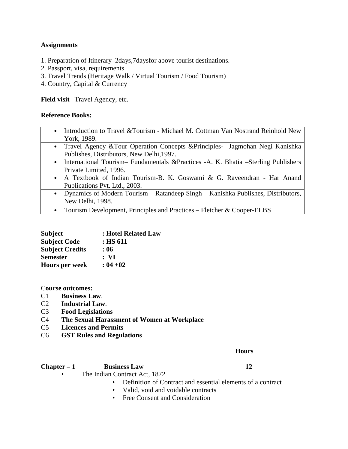# **Assignments**

- 1. Preparation of Itinerary–2days,7daysfor above tourist destinations.
- 2. Passport, visa, requirements
- 3. Travel Trends (Heritage Walk / Virtual Tourism / Food Tourism)
- 4. Country, Capital & Currency

**Field visit**– Travel Agency, etc.

# **Reference Books:**

- Introduction to Travel &Tourism Michael M. Cottman Van Nostrand Reinhold New York, 1989.
- Travel Agency &Tour Operation Concepts &Principles- Jagmohan Negi Kanishka Publishes, Distributors, New Delhi,1997.
- International Tourism– Fundamentals &Practices -A. K. Bhatia –Sterling Publishers Private Limited, 1996.
- A Textbook of Indian Tourism-B. K. Goswami & G. Raveendran Har Anand Publications Pvt. Ltd., 2003.
- Dynamics of Modern Tourism Ratandeep Singh Kanishka Publishes, Distributors, New Delhi, 1998.
	- Tourism Development, Principles and Practices Fletcher & Cooper-ELBS

| <b>Subject</b>         | : Hotel Related Law |
|------------------------|---------------------|
| <b>Subject Code</b>    | : HS 611            |
| <b>Subject Credits</b> | : 06                |
| <b>Semester</b>        | : VI                |
| <b>Hours per week</b>  | $: 04 + 02$         |

# C**ourse outcomes:**

- C1 **Business Law**.
- C2 **Industrial Law**.
- C3 **Food Legislations**
- C4 **The Sexual Harassment of Women at Workplace**
- C5 **Licences and Permits**
- C6 **GST Rules and Regulations**

# **Hours**

# **Chapter – 1 Business Law 12**

- The Indian Contract Act, 1872
	- Definition of Contract and essential elements of a contract
	- Valid, void and voidable contracts
	- Free Consent and Consideration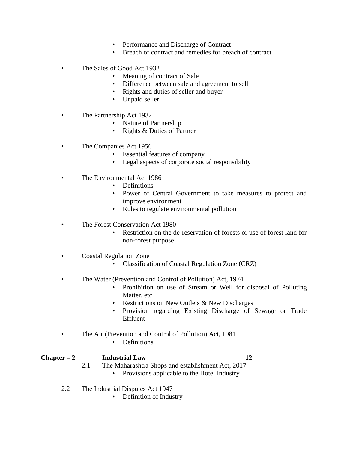- Performance and Discharge of Contract
- Breach of contract and remedies for breach of contract
- The Sales of Good Act 1932
	- Meaning of contract of Sale
	- Difference between sale and agreement to sell
	- Rights and duties of seller and buyer
	- Unpaid seller
- The Partnership Act 1932
	- Nature of Partnership
	- Rights & Duties of Partner
- The Companies Act 1956
	- Essential features of company
	- Legal aspects of corporate social responsibility
- The Environmental Act 1986
	- Definitions
	- Power of Central Government to take measures to protect and improve environment
	- Rules to regulate environmental pollution
- The Forest Conservation Act 1980
	- Restriction on the de-reservation of forests or use of forest land for non-forest purpose
- Coastal Regulation Zone
	- Classification of Coastal Regulation Zone (CRZ)
- The Water (Prevention and Control of Pollution) Act, 1974
	- Prohibition on use of Stream or Well for disposal of Polluting Matter, etc
	- Restrictions on New Outlets & New Discharges
	- Provision regarding Existing Discharge of Sewage or Trade Effluent
- The Air (Prevention and Control of Pollution) Act, 1981
	- Definitions

# **Chapter – 2 Industrial Law 12**

- 2.1 The Maharashtra Shops and establishment Act, 2017 • Provisions applicable to the Hotel Industry
- 2.2 The Industrial Disputes Act 1947
	- Definition of Industry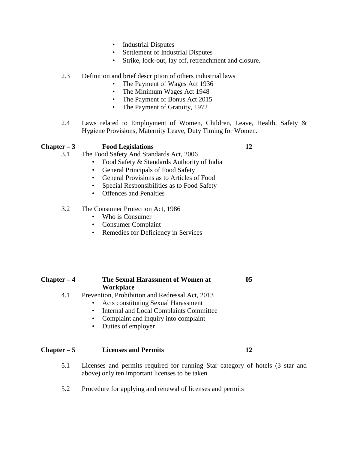- Industrial Disputes
- Settlement of Industrial Disputes
- Strike, lock-out, lay off, retrenchment and closure.

# 2.3 Definition and brief description of others industrial laws

- The Payment of Wages Act 1936
- The Minimum Wages Act 1948
- The Payment of Bonus Act 2015
- The Payment of Gratuity, 1972
- 2.4 Laws related to Employment of Women, Children, Leave, Health, Safety & Hygiene Provisions, Maternity Leave, Duty Timing for Women.

# **Chapter – 3 Food Legislations 12**

- 3.1 The Food Safety And Standards Act, 2006
	- Food Safety & Standards Authority of India
	- General Principals of Food Safety
	- General Provisions as to Articles of Food
	- Special Responsibilities as to Food Safety
	- Offences and Penalties

# 3.2 The Consumer Protection Act, 1986

- Who is Consumer
- Consumer Complaint
- Remedies for Deficiency in Services

| $Chapter - 4$ | The Sexual Harassment of Women at<br><b>Workplace</b>                                                                                                                                                                                    | 05 |  |
|---------------|------------------------------------------------------------------------------------------------------------------------------------------------------------------------------------------------------------------------------------------|----|--|
| 4.1           | Prevention, Prohibition and Redressal Act, 2013<br>• Acts constituting Sexual Harassment<br>Internal and Local Complaints Committee<br>$\bullet$<br>Complaint and inquiry into complaint<br>$\bullet$<br>Duties of employer<br>$\bullet$ |    |  |
| $Chapter - 5$ | <b>Licenses and Permits</b>                                                                                                                                                                                                              | 12 |  |

- 5.1 Licenses and permits required for running Star category of hotels (3 star and above) only ten important licenses to be taken
- 5.2 Procedure for applying and renewal of licenses and permits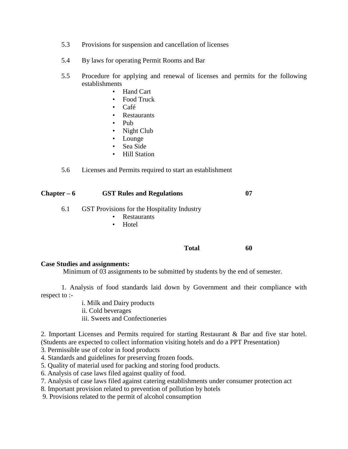- 5.3 Provisions for suspension and cancellation of licenses
- 5.4 By laws for operating Permit Rooms and Bar
- 5.5 Procedure for applying and renewal of licenses and permits for the following establishments
	- Hand Cart
	- Food Truck
	- Café
	- **Restaurants**
	- Pub
	- Night Club
	- Lounge
	- Sea Side
	- Hill Station
- 5.6 Licenses and Permits required to start an establishment

| Chapter – 6 | <b>GST Rules and Regulations</b>                                                             | 07 |
|-------------|----------------------------------------------------------------------------------------------|----|
| 6.1         | <b>GST</b> Provisions for the Hospitality Industry<br>Restaurants<br>٠<br>Hotel<br>$\bullet$ |    |
|             |                                                                                              |    |

#### **Total 60**

#### **Case Studies and assignments:**

Minimum of 03 assignments to be submitted by students by the end of semester.

1. Analysis of food standards laid down by Government and their compliance with respect to :-

> i. Milk and Dairy products ii. Cold beverages iii. Sweets and Confectioneries

2. Important Licenses and Permits required for starting Restaurant & Bar and five star hotel. (Students are expected to collect information visiting hotels and do a PPT Presentation)

3. Permissible use of color in food products

- 4. Standards and guidelines for preserving frozen foods.
- 5. Quality of material used for packing and storing food products.
- 6. Analysis of case laws filed against quality of food.
- 7. Analysis of case laws filed against catering establishments under consumer protection act
- 8. Important provision related to prevention of pollution by hotels
- 9. Provisions related to the permit of alcohol consumption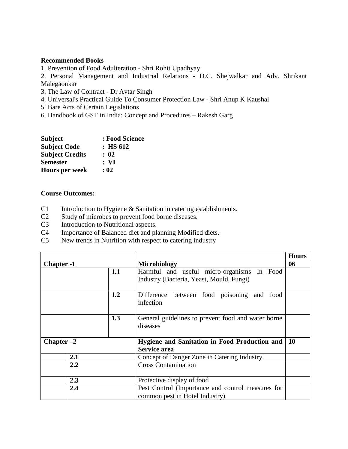# **Recommended Books**

1. Prevention of Food Adulteration - Shri Rohit Upadhyay

2. Personal Management and Industrial Relations - D.C. Shejwalkar and Adv. Shrikant Malegaonkar

- 3. The Law of Contract Dr Avtar Singh
- 4. Universal's Practical Guide To Consumer Protection Law Shri Anup K Kaushal
- 5. Bare Acts of Certain Legislations
- 6. Handbook of GST in India: Concept and Procedures Rakesh Garg

| <b>Subject</b>         | : Food Science |
|------------------------|----------------|
| <b>Subject Code</b>    | $:$ HS 612     |
| <b>Subject Credits</b> | : 02           |
| <b>Semester</b>        | : VI           |
| <b>Hours per week</b>  | : 02           |

# **Course Outcomes:**

- C1 Introduction to Hygiene & Sanitation in catering establishments.
- C2 Study of microbes to prevent food borne diseases.
- C3 Introduction to Nutritional aspects.
- C4 Importance of Balanced diet and planning Modified diets.
- C5 New trends in Nutrition with respect to catering industry

|                   |     |                                                                                           | <b>Hours</b> |
|-------------------|-----|-------------------------------------------------------------------------------------------|--------------|
| <b>Chapter -1</b> |     | Microbiology                                                                              | 06           |
|                   | 1.1 | Harmful and useful micro-organisms<br>In Food<br>Industry (Bacteria, Yeast, Mould, Fungi) |              |
|                   | 1.2 | Difference between food poisoning and<br>food<br>infection                                |              |
|                   | 1.3 | General guidelines to prevent food and water borne<br>diseases                            |              |
| Chapter $-2$      |     | <b>Hygiene and Sanitation in Food Production and</b><br><b>Service area</b>               | <b>10</b>    |
| 2.1               |     | Concept of Danger Zone in Catering Industry.                                              |              |
| 2.2               |     | <b>Cross Contamination</b>                                                                |              |
| 2.3               |     | Protective display of food                                                                |              |
| 2.4               |     | Pest Control (Importance and control measures for<br>common pest in Hotel Industry)       |              |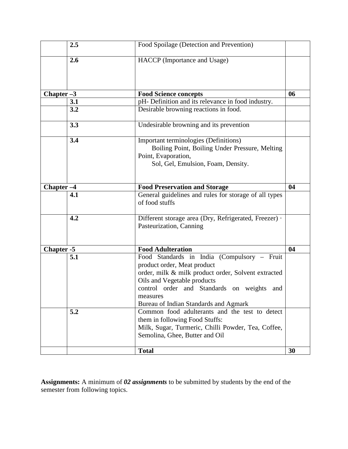|                       | 2.5 | Food Spoilage (Detection and Prevention)                                                                                                                                                                                                                            |    |
|-----------------------|-----|---------------------------------------------------------------------------------------------------------------------------------------------------------------------------------------------------------------------------------------------------------------------|----|
|                       | 2.6 | HACCP (Importance and Usage)                                                                                                                                                                                                                                        |    |
| Chapter $-3$          |     | <b>Food Science concepts</b>                                                                                                                                                                                                                                        | 06 |
|                       | 3.1 | pH- Definition and its relevance in food industry.                                                                                                                                                                                                                  |    |
|                       | 3.2 | Desirable browning reactions in food.                                                                                                                                                                                                                               |    |
|                       | 3.3 | Undesirable browning and its prevention                                                                                                                                                                                                                             |    |
|                       | 3.4 | Important terminologies (Definitions)<br>Boiling Point, Boiling Under Pressure, Melting<br>Point, Evaporation,<br>Sol, Gel, Emulsion, Foam, Density.                                                                                                                |    |
| Chapter <sub>-4</sub> |     | <b>Food Preservation and Storage</b>                                                                                                                                                                                                                                | 04 |
|                       | 4.1 | General guidelines and rules for storage of all types<br>of food stuffs                                                                                                                                                                                             |    |
|                       | 4.2 | Different storage area (Dry, Refrigerated, Freezer) ·<br>Pasteurization, Canning                                                                                                                                                                                    |    |
| Chapter -5            |     | <b>Food Adulteration</b>                                                                                                                                                                                                                                            | 04 |
|                       | 5.1 | Food Standards in India (Compulsory - Fruit<br>product order, Meat product<br>order, milk & milk product order, Solvent extracted<br>Oils and Vegetable products<br>control order and Standards on weights and<br>measures<br>Bureau of Indian Standards and Agmark |    |
|                       | 5.2 | Common food adulterants and the test to detect<br>them in following Food Stuffs:<br>Milk, Sugar, Turmeric, Chilli Powder, Tea, Coffee,<br>Semolina, Ghee, Butter and Oil                                                                                            |    |
|                       |     | <b>Total</b>                                                                                                                                                                                                                                                        | 30 |

**Assignments:** A minimum of *02 assignments* to be submitted by students by the end of the semester from following topics.